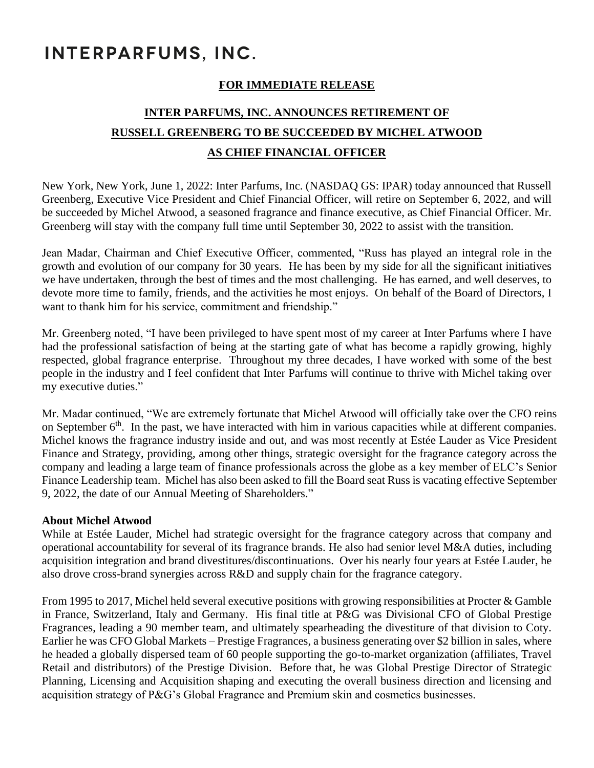## INTERPARFUMS, INC.

## **FOR IMMEDIATE RELEASE**

## **INTER PARFUMS, INC. ANNOUNCES RETIREMENT OF RUSSELL GREENBERG TO BE SUCCEEDED BY MICHEL ATWOOD AS CHIEF FINANCIAL OFFICER**

New York, New York, June 1, 2022: Inter Parfums, Inc. (NASDAQ GS: IPAR) today announced that Russell Greenberg, Executive Vice President and Chief Financial Officer, will retire on September 6, 2022, and will be succeeded by Michel Atwood, a seasoned fragrance and finance executive, as Chief Financial Officer. Mr. Greenberg will stay with the company full time until September 30, 2022 to assist with the transition.

Jean Madar, Chairman and Chief Executive Officer, commented, "Russ has played an integral role in the growth and evolution of our company for 30 years. He has been by my side for all the significant initiatives we have undertaken, through the best of times and the most challenging. He has earned, and well deserves, to devote more time to family, friends, and the activities he most enjoys. On behalf of the Board of Directors, I want to thank him for his service, commitment and friendship."

Mr. Greenberg noted, "I have been privileged to have spent most of my career at Inter Parfums where I have had the professional satisfaction of being at the starting gate of what has become a rapidly growing, highly respected, global fragrance enterprise. Throughout my three decades, I have worked with some of the best people in the industry and I feel confident that Inter Parfums will continue to thrive with Michel taking over my executive duties."

Mr. Madar continued, "We are extremely fortunate that Michel Atwood will officially take over the CFO reins on September  $6<sup>th</sup>$ . In the past, we have interacted with him in various capacities while at different companies. Michel knows the fragrance industry inside and out, and was most recently at Estée Lauder as Vice President Finance and Strategy, providing, among other things, strategic oversight for the fragrance category across the company and leading a large team of finance professionals across the globe as a key member of ELC's Senior Finance Leadership team. Michel has also been asked to fill the Board seat Russ is vacating effective September 9, 2022, the date of our Annual Meeting of Shareholders."

## **About Michel Atwood**

While at Estée Lauder, Michel had strategic oversight for the fragrance category across that company and operational accountability for several of its fragrance brands. He also had senior level M&A duties, including acquisition integration and brand divestitures/discontinuations. Over his nearly four years at Estée Lauder, he also drove cross-brand synergies across R&D and supply chain for the fragrance category.

From 1995 to 2017, Michel held several executive positions with growing responsibilities at Procter & Gamble in France, Switzerland, Italy and Germany. His final title at P&G was Divisional CFO of Global Prestige Fragrances, leading a 90 member team, and ultimately spearheading the divestiture of that division to Coty. Earlier he was CFO Global Markets – Prestige Fragrances, a business generating over \$2 billion in sales, where he headed a globally dispersed team of 60 people supporting the go-to-market organization (affiliates, Travel Retail and distributors) of the Prestige Division. Before that, he was Global Prestige Director of Strategic Planning, Licensing and Acquisition shaping and executing the overall business direction and licensing and acquisition strategy of P&G's Global Fragrance and Premium skin and cosmetics businesses.